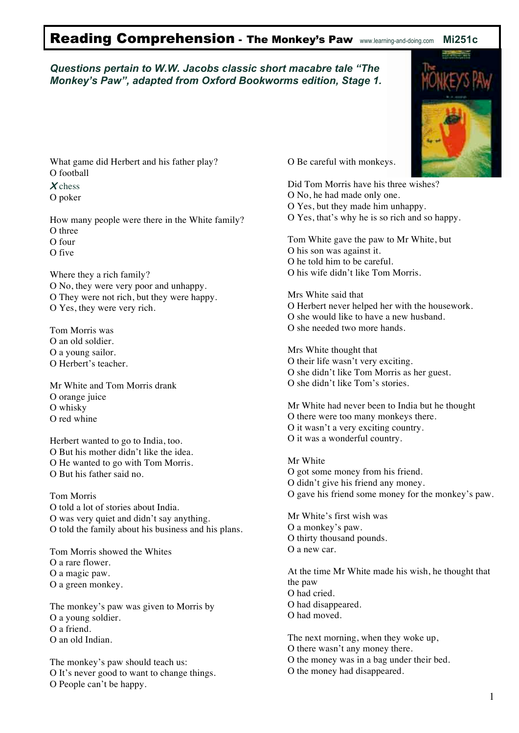## Reading Comprehension - The Monkey's Paw www.learning-and-doing.com **Mi251c**

## *Questions pertain to W.W. Jacobs classic short macabre tale "The Monkey's Paw", adapted from Oxford Bookworms edition, Stage 1.*



What game did Herbert and his father play? O football

**X** chess

O poker

How many people were there in the White family? O three

O four

O five

Where they a rich family? O No, they were very poor and unhappy. O They were not rich, but they were happy. O Yes, they were very rich.

Tom Morris was O an old soldier. O a young sailor. O Herbert's teacher.

Mr White and Tom Morris drank O orange juice O whisky O red whine

Herbert wanted to go to India, too. O But his mother didn't like the idea. O He wanted to go with Tom Morris. O But his father said no.

Tom Morris O told a lot of stories about India. O was very quiet and didn't say anything. O told the family about his business and his plans.

Tom Morris showed the Whites O a rare flower. O a magic paw. O a green monkey.

The monkey's paw was given to Morris by O a young soldier. O a friend. O an old Indian.

The monkey's paw should teach us: O It's never good to want to change things. O People can't be happy.

O Be careful with monkeys.

Did Tom Morris have his three wishes? O No, he had made only one. O Yes, but they made him unhappy. O Yes, that's why he is so rich and so happy.

Tom White gave the paw to Mr White, but O his son was against it.

- O he told him to be careful.
- O his wife didn't like Tom Morris.

Mrs White said that O Herbert never helped her with the housework. O she would like to have a new husband. O she needed two more hands.

Mrs White thought that O their life wasn't very exciting. O she didn't like Tom Morris as her guest. O she didn't like Tom's stories.

Mr White had never been to India but he thought O there were too many monkeys there. O it wasn't a very exciting country. O it was a wonderful country.

Mr White O got some money from his friend. O didn't give his friend any money. O gave his friend some money for the monkey's paw.

Mr White's first wish was O a monkey's paw. O thirty thousand pounds. O a new car.

At the time Mr White made his wish, he thought that the paw O had cried. O had disappeared. O had moved.

The next morning, when they woke up,

- O there wasn't any money there.
- O the money was in a bag under their bed.
- O the money had disappeared.